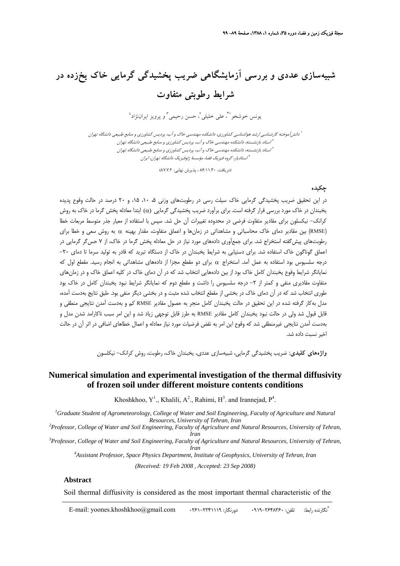# **شبيهسازي عددي و بررسي آزمايشگاهي ضريب پخشيدگي گرمايي خاك يخزده در شرايط رطوبتي متفاوت**

بونس خوشخو ا<sup>\*</sup>، علي خليلي <sup>٢</sup>، حسن رحيمي <sup>٣</sup> و پرويز ايراننژاد<sup>؛</sup>

آموخته كارشناسي ارشد هواشناسي كشاورزي، دانشكده مهندسي خاك <sup>و</sup> آب، پرديس كشاورزي <sup>و</sup> منابع طبيعي دانشگاه تهران <sup>1</sup> دانش استاد بازنشسته، دانشكده مهندسي خاك <sup>و</sup> آب، پرديس كشاورزي <sup>و</sup> منابع طبيعي دانشگاه تهران <sup>2</sup> استاد بازنشسته، دانشكده مهندسي خاك <sup>و</sup> آب، پرديس كشاورزي <sup>و</sup> منابع طبيعي دانشگاه تهران <sup>3</sup> استاديار، گروه فيزيك فضا، مؤسسة ژئوفيزيك دانشگاه تهران، ايران <sup>4</sup>

(دريافت: ۱٫۳۰/۱۱٫۲ ، پذيرش نهايي: ۸۷٫۷٫۲)

#### **چكيده**

در اين تحقيق ضريب پخشيدگي گرمايي خاک سيلت رسي در رطوبتهاي وزني ۰۵ ،۱۰ ۰۵، و ۲۰ درصد در حالت وقوع پديده يخبندان در خاک مورد بررسي قرار گرفته است. براي برآورد ضريب پخشيدگي گرمايي (α) ابتدا معادله پخش گرما در خاک به روش كرانك- نيكسلون براي مقادير متفاوت فرضي در محدوده تغييرات آن حل شد. سپس با استفاده از معيار جذر متوسط مربعات خطا (RMSE (بين مقادير دماي خاك محاسباتي و مشاهداتي در زمانها و اعماق متفاوت، مقدار بهينه α به روش سعي و خطا براي رطوبتهاي پيشگفته استخراج شد. براي جمعآوري دادههاي مورد نياز در حل معادله پخش گرما در خاك، از 7 حسگر گرمايي در اعماق گوناگون خاك استفاده شد. براي دستيابي به شرايط يخبندان در خاك از دستگاه تبريد كه قادر به توليد سرما تا دماي -20 درجه سلسيوس بود استفاده به عمل آمد. استخراج α براي دو مقطع مجزا از دادههاي مشاهداتي به انجام رسيد. مقطع اول كه نمايانگر شرايط وقوع يخبندان كامل خاك بود از بين دادههايي انتخاب شد كه در آن دماي خاك در كليه اعماق خاك و در زمانهاي متفاوت مقاديري منفي و كمتر از ٢- درجه سلسيوس را داشت و مقطع دوم كه نمايانگر شرايط نبود يخبندان كامل در خاك بود طوري انتخاب شد كه در آن دماي خاك در بخشي از مقطع انتخاب شده مثبت و در بخشي ديگر منفي بود. طبق نتايج بهدست آمده، مدل بهكار گرفته شده در اين تحقيق در حالت يخبندان كامل منجر به حصول مقادير RMSE كم و بهدست آمدن نتايجي منطقي و قابل قبول شد ولي در حالت نبود يخبندان كامل مقادير RMSE به طرز قابل توجهي زياد شد و اين امر سبب ناكارامد شدن مدل و بهدست آمدن نتايجي غيرمنطقي شد كه وقوع اين امر به نقض فرضيات مورد نياز معادله و اعمال خطاهاي اضافي در اثر آن در حالت اخير نسبت داده شد.

**واژههاي كليدي:** ضريب پخشيدگي گرمايي، شبيهسازي عددي، يخبندان خاك، رطوبت، روش كرانك- نيكلسون

## **Numerical simulation and experimental investigation of the thermal diffusivity of frozen soil under different moisture contents conditions**

Khoshkhoo,  $Y^1$ ., Khalili,  $A^2$ ., Rahimi,  $H^3$ . and Irannejad,  $P^4$ .

<sup>1</sup> Graduate Student of Agrometeorology, College of Water and Soil Engineering, Faculty of Agriculture and Natural *Resources, University of Tehran, Iran 2 Professor, College of Water and Soil Engineering, Faculty of Agriculture and Natural Resources, University of Tehran,* 

*Iran 3 Professor, College of Water and Soil Engineering, Faculty of Agriculture and Natural Resources, University of Tehran, Iran 4 Assistant Professor, Space Physics Department, Institute of Geophysics, University of Tehran, Iran* 

*(Received: 19 Feb 2008 , Accepted: 23 Sep 2008)* 

#### **Abstract**

Soil thermal diffusivity is considered as the most important thermal characteristic of the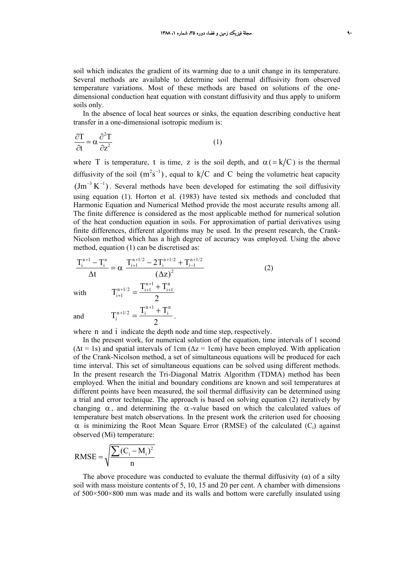soil which indicates the gradient of its warming due to a unit change in its temperature. Several methods are available to determine soil thermal diffusivity from observed temperature variations. Most of these methods are based on solutions of the onedimensional conduction heat equation with constant diffusivity and thus apply to uniform soils only.

In the absence of local heat sources or sinks, the equation describing conductive heat transfer in a one-dimensional isotropic medium is:

$$
\frac{\partial T}{\partial t} = \alpha \frac{\partial^2 T}{\partial z^2}
$$
 (1)

where T is temperature, t is time, z is the soil depth, and  $\alpha (= k/C)$  is the thermal diffusivity of the soil  $(m^2 s^{-1})$ , equal to k/C and C being the volumetric heat capacity  $\rm (Jm^{-3} K^{-1})$ . Several methods have been developed for estimating the soil diffusivity using equation (1). Horton et al. (1983) have tested six methods and concluded that Harmonic Equation and Numerical Method provide the most accurate results among all. The finite difference is considered as the most applicable method for numerical solution of the heat conduction equation in soils. For approximation of partial derivatives using finite differences, different algorithms may be used. In the present research, the Crank-Nicolson method which has a high degree of accuracy was employed. Using the above method, equation (1) can be discretised as:

$$
\frac{T_{i}^{n+1} - T_{i}^{n}}{\Delta t} = \alpha \frac{T_{i+1}^{n+1/2} - 2T_{i}^{n+1/2} + T_{i-1}^{n+1/2}}{(\Delta z)^{2}}
$$
\nwith\n
$$
T_{i+1}^{n+1/2} = \frac{T_{i+1}^{n+1} + T_{i+1}^{n}}{2}
$$
\nand\n
$$
T_{i}^{n+1/2} = \frac{T_{i}^{n+1} + T_{i}^{n}}{2}.
$$
\n(2)

 $\epsilon$ 

where n and i indicate the depth node and time step, respectively.

In the present work, for numerical solution of the equation, time intervals of 1 second  $(\Delta t = 1s)$  and spatial intervals of 1cm  $(\Delta z = 1cm)$  have been employed. With application of the Crank-Nicolson method, a set of simultaneous equations will be produced for each time interval. This set of simultaneous equations can be solved using different methods. In the present research the Tri-Diagonal Matrix Algorithm (TDMA) method has been employed. When the initial and boundary conditions are known and soil temperatures at different points have been measured, the soil thermal diffusivity can be determined using a trial and error technique. The approach is based on solving equation (2) iteratively by changing  $\alpha$ , and determining the  $\alpha$ -value based on which the calculated values of temperature best match observations. In the present work the criterion used for choosing  $\alpha$  is minimizing the Root Mean Square Error (RMSE) of the calculated (C<sub>i</sub>) against observed (Mi) temperature:

$$
\text{RMSE} = \sqrt{\frac{\sum (C_i - M_i)^2}{n}}
$$

The above procedure was conducted to evaluate the thermal diffusivity  $(\alpha)$  of a silty soil with mass moisture contents of 5, 10, 15 and 20 per cent. A chamber with dimensions of 500×500×800 mm was made and its walls and bottom were carefully insulated using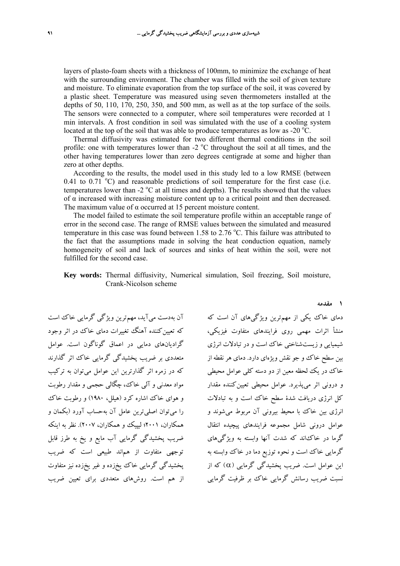layers of plasto-foam sheets with a thickness of 100mm, to minimize the exchange of heat with the surrounding environment. The chamber was filled with the soil of given texture and moisture. To eliminate evaporation from the top surface of the soil, it was covered by a plastic sheet. Temperature was measured using seven thermometers installed at the depths of 50, 110, 170, 250, 350, and 500 mm, as well as at the top surface of the soils. The sensors were connected to a computer, where soil temperatures were recorded at 1 min intervals. A frost condition in soil was simulated with the use of a cooling system located at the top of the soil that was able to produce temperatures as low as -20  $\rm{^oC}$ .

Thermal diffusivity was estimated for two different thermal conditions in the soil profile: one with temperatures lower than  $-2$   $\mathrm{^{\circ}C}$  throughout the soil at all times, and the other having temperatures lower than zero degrees centigrade at some and higher than zero at other depths.

According to the results, the model used in this study led to a low RMSE (between 0.41 to 0.71  $^{\circ}$ C) and reasonable predictions of soil temperature for the first case (i.e. temperatures lower than  $-2$  °C at all times and depths). The results showed that the values of α increased with increasing moisture content up to a critical point and then decreased. The maximum value of  $\alpha$  occurred at 15 percent moisture content.

The model failed to estimate the soil temperature profile within an acceptable range of error in the second case. The range of RMSE values between the simulated and measured temperature in this case was found between 1.58 to 2.76 °C. This failure was attributed to the fact that the assumptions made in solving the heat conduction equation, namely homogeneity of soil and lack of sources and sinks of heat within the soil, were not fulfilled for the second case.

### **Key words:** Thermal diffusivity, Numerical simulation, Soil freezing, Soil moisture, Crank-Nicolson scheme

آن بهدست ميآيد، مهمترين ويژگي گرمايي خاك است كه تعيين كننده آهنگ تغييرات دماي خاك در اثر وجود گراديانهاي دمايي در اعماق گوناگون است. عوامل متعددي بر ضريب پخشيدگي گرمايي خاك اثر گذارند كه در زمره اثر گذارترين اين عوامل ميتوان به تركيب مواد معدني و آلي خاك، چگالي حجمي و مقدار رطوبت و هواي خاك اشاره كرد (هيلل، 1980) و رطوبت خاك را ميتوان اصليترين عامل آن بهحساب آورد (بكمان و همكاران، 2001؛ ليپيك و همكاران، 2007). نظر به اينكه ضريب پخشيدگي گرمايي آب مايع و يخ به طرز قابل توجهي متفاوت از هماند طبيعي است كه ضريب پخشيدگي گرمايي خاك يخزده و غير يخزده نيز متفاوت از هم است. روشهاي متعددي براي تعيين ضريب

دماي خاك يكي از مهمترين ويژگيهاي آن است كه منشأ اثرات مهمي روي فرايندهاي متفاوت فيزيكي، شيميايي و زيستشناختي خاك است و در تبادلات انرژي بين سطح خاك و جو نقش ويژهاي دارد. دماي هر نقطه از خاك در يك لحظه معين از دو دسته كلي عوامل محيطي و دروني اثر ميپذيرد. عوامل محيطي تعيينكننده مقدار كل انرژي دريافت شدة سطح خاك است و به تبادلات انرژي بين خاك با محيط بيروني آن مربوط ميشوند و عوامل دروني شامل مجموعه فرايندهاي پيچيده انتقال گرما در خاكاند كه شدت آنها وابسته به ويژگيهاي گرمايي خاك است و نحوه توزيع دما در خاك وابسته به اين عوامل است. ضريب پخشيدگي گرمايي (α (كه از نسبت ضريب رسانش گرمايي خاك بر ظرفيت گرمايي

#### **1 مقدمه**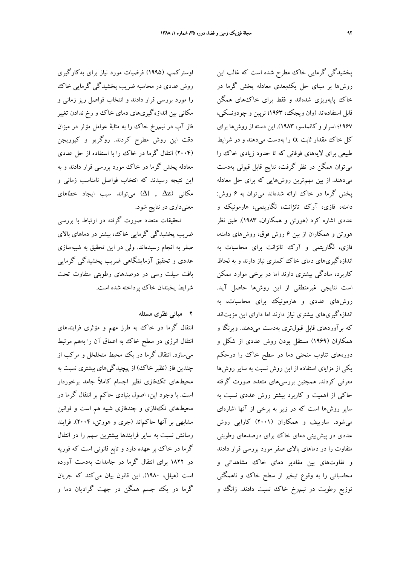اوستركمپ (1995) فرضيات مورد نياز براي بهكارگيري روش عددي در محاسبه ضريب پخشيدگي گرمايي خاك را مورد بررسي قرار دادند و انتخاب فواصل ريز زماني و مكاني بين اندازهگيريهاي دماي خاك و رخ ندادن تغيير فاز آب در نيمرخ خاك را به مثابة عوامل مؤثر در ميزان دقت اين روش مطرح كردند. روگريو و كيوريجن (2004) انتقال گرما در خاك را با استفاده از حل عددي معادله پخش گرما در خاك مورد بررسي قرار دادند و به اين نتيجه رسيدند كه انتخاب فواصل نامناسب زماني و مكاني  $\Delta t$  ,  $\Delta t$ ) ميتواند سبب ايجاد خطاهاي معنيداري در نتايج شود.

تحقيقات متعدد صورت گرفته در ارتباط با بررسي ضريب پخشيدگي گرمايي خاك، بيشتر در دماهاي بالاي صفر به انجام رسيدهاند. ولي در اين تحقيق به شبيهسازي عددي و تحقيق آزمايشگاهي ضريب پخشيدگي گرمايي بافت سيلت رسي در درصدهاي رطوبتي متفاوت تحت شرايط يخبندان خاك پرداخته شده است.

### **2 مباني نظري مسئله**

انتقال گرما در خاك به طرز مهم و مؤثري فرايندهاي انتقال انرژي در سطح خاك به اعماق آن را بههم مرتبط ميسازد. انتقال گرما در يك محيط متخلخل و مركب از چندين فاز (نظير خاك) از پيچيدگيهاي بيشتري نسبت به محيطهاي تكفازي نظير اجسام كاملاً جامد برخوردار است. با وجود اين، اصول بنيادي حاكم بر انتقال گرما در محيطهاي تكفازي و چندفازي شبيه هم است و قوانين مشابهي بر آنها حاكماند (جري و هورتن، 2004). فرايند رسانش نسبت به ساير فرايندها بيشترين سهم را در انتقال گرما در خاك بر عهده دارد و تابع قانوني است كه فوريه در 1822 براي انتقال گرما در جامدات بهدست آورده است (هيلل، 1980). اين قانون بيان ميكند كه جريان گرما در يك جسم همگن در جهت گراديان دما و

پخشيدگي گرمايي خاك مطرح شده است كه غالب اين روشها بر مبناي حل يكبعدي معادله پخش گرما در خاك پايهريزي شدهاند و فقط براي خاكهاي همگن قابل استفادهاند (وان ويجك، 1963؛ نرپين و چودونسكي، 1967؛ اسرار و كانماسو، 1983). اين دسته از روشها براي كل خاك مقدار ثابت  $\alpha$  را بهدست مىدهند و در شرايط طبيعي براي لايههاي فوقاني كه تا حدود زيادي خاك را ميتوان همگن در نظر گرفت، نتايج قابل قبولي بهدست ميدهند. از بين مهمترين روشهايي كه براي حل معادله پخش گرما در خاك ارائه شدهاند ميتوان به 6 روش: دامنه، فازي، آرك تانژانت، لگاريتمي، هارمونيك و عددي اشاره كرد (هورتن و همكاران، 1983). طبق نظر هورتن و همكاران از بين 6 روش فوق، روشهاي دامنه، فازي، لگاريتمي و آرك تانژانت براي محاسبات به اندازهگيريهاي دماي خاك كمتري نياز دارند و به لحاظ كاربرد، سادگي بيشتري دارند اما در برخي موارد ممكن است نتايجي غيرمنطقي از اين روشها حاصل آيد. روشهاي عددي و هارمونيك براي محاسبات، به اندازهگيريهاي بيشتري نياز دارند اما داراي اين مزيتاند كه برآوردهاي قابل قبولتري بهدست ميدهند. ويرنگا و همكاران (1969) مستقل بودن روش عددي از شكل و دورههاي تناوب منحني دما در سطح خاك را درحكم يكي از مزاياي استفاده از اين روش نسبت به ساير روشها معرفي كردند. همچنين بررسيهاي متعدد صورت گرفته حاكي از اهميت و كاربرد بيشتر روش عددي نسبت به ساير روشها است كه در زير به برخي از آنها اشارهاي ميشود. سارييف و همكاران (2001) كارايي روش عددي در پيشبيني دماي خاك براي درصدهاي رطوبتي متفاوت را در دماهاي بالاي صفر مورد بررسي قرار دادند و تفاوتهاي بين مقادير دماي خاك مشاهداتي و محاسباتي را به وقوع تبخير از سطح خاك و ناهمگني توزيع رطوبت در نيمرخ خاك نسبت دادند. زانگ و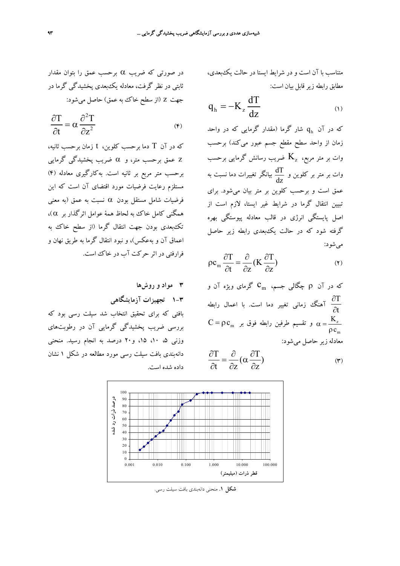در صورتي كه ضريب  $\alpha$  برحسب عمق را بتوان مقدار ثابتي در نظر گرفت، معادله يكبعدي پخشيدگي گرما در جهت z) از سطح خاك به عمق) حاصل ميشود:

$$
\frac{\partial T}{\partial t} = \alpha \frac{\partial^2 T}{\partial z^2}
$$
 (6)

كه در آن T دما برحسب كلوين، t زمان برحسب ثانيه، z عمق برحسب متر، و α ضريب پخشيدگي گرمايي برحسب متر مربع بر ثانيه است. بهكارگيري معادله (4) مستلزم رعايت فرضيات مورد اقتضاي آن است كه اين فرضيات شامل مستقل بودن α نسبت به عمق (به معني همگني كامل خاك به لحاظ همهٔ عوامل اثرگذار بر  $(\alpha\,$ تكبعدي بودن جهت انتقال گرما (از سطح خاك به اعماق آن و بهعكس)، و نبود انتقال گرما به طريق نهان و فرارفتي در اثر حركت آب در خاك است.

$$
\mathbf{v} \quad \mathbf{a} \in \mathbf{c} \in \mathbf{c} \in \mathbf{c}
$$

**1-3 تجهيزات آزمايشگاهي**

بافتي كه براي تحقيق انتخاب شد سيلت رسي بود كه بررسي ضريب پخشيدگي گرمايي آن در رطوبتهاي وزني ۵، ۱۰، ۱۵، و۲۰ درصد به انجام رسيد. منحني دانهبندي بافت سيلت رسي مورد مطالعه در شكل 1 نشان داده شده است.

متناسب با آن است و در شرايط ايستا در حالت يكبعدي، مطابق رابطه زير قابل بيان است:

$$
q_h = -K_z \frac{dT}{dz}
$$
 (1)

که در آن  $\rm q_{\rm h}$  شار گرما (مقدار گرمایی که در واحد زمان از واحد سطح مقطع جسم عبور ميكند) برحسب وات بر متر مربع،  $\rm\,K_{z}$  ضريب رسانش گرمايي برحسب وات بر متر بر كلوين و  $\frac{\mathrm{d} \mathrm{T}}{\mathrm{d} \mathrm{z}}$  بيانگر تغييرات دما نسبت به عمق است و برحسب كلوين بر متر بيان ميشود. براي تبيين انتقال گرما در شرايط غير ايستا، لازم است از اصل پايستگي انرژي در قالب معادله پيوستگي بهره گرفته شود كه در حالت يكبعدي رابطه زير حاصل ميشود:

$$
\rho c_{m} \frac{\partial T}{\partial t} = \frac{\partial}{\partial z} (K \frac{\partial T}{\partial z})
$$
 (7)

که در آن P چگالی جسم، 
$$
C_m
$$
 کرمای ویژه آن و  
آم
$$
\frac{\partial T}{\partial t}
$$

$$
C = \rho c_m
$$
و بایطه فوق بر 
$$
\rho = \frac{K_z}{\rho c_m}
$$

$$
C = \rho c_m
$$

$$
\frac{\partial T}{\partial t} = \frac{\partial}{\partial z} \left( \alpha \frac{\partial T}{\partial z} \right) \tag{7}
$$



**شكل .1** منحني دانهبندي بافت سيلت رسي.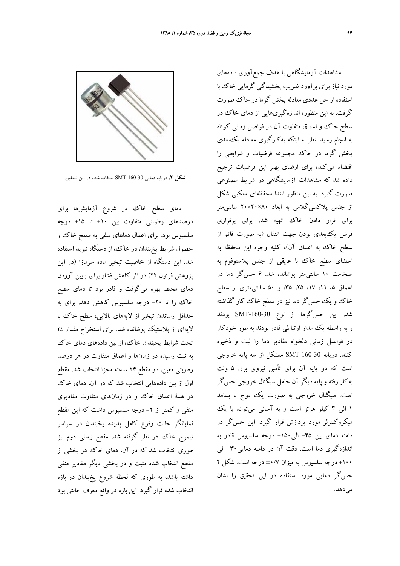

دماي سطح خاك در شروع آزمايشها براي درصدهاي رطوبتي متفاوت بين +10 تا +15 درجه سلسيوس بود. براي اعمال دماهاي منفي به سطح خاك و حصول شرايط يخبندان در خاك، از دستگاه تبريد استفاده شد. اين دستگاه از خاصيت تبخير ماده سرمازا (در اين پژوهش فرئون 22) در اثر كاهش فشار براي پايين آوردن دماي محيط بهره ميگرفت و قادر بود تا دماي سطح خاك را تا -20 درجه سلسيوس كاهش دهد. براي به حداقل رساندن تبخير از لايههاي بالايي، سطح خاك با لايهاي از پلاستيك پوشانده شد. براي استخراج مقدار α تحت شرايط يخبندان خاك، از بين دادههاي دماي خاك به ثبت رسيده در زمانها و اعماق متفاوت در هر درصد رطوبتي معين، دو مقطع 24 ساعته مجزا انتخاب شد. مقطع اول از بين دادههايي انتخاب شد كه در آن، دماي خاك در همة اعماق خاك و در زمانهاي متفاوت مقاديري منفي و كمتر از ۲- درجه سلسيوس داشت كه اين مقطع نمايانگر حالت وقوع كامل پديده يخبندان در سراسر نيمرخ خاك در نظر گرفته شد. مقطع زماني دوم نيز طوري انتخاب شد كه در آن، دماي خاك در بخشي از مقطع انتخاب شده مثبت و در بخشي ديگر مقادير منفي داشته باشد، به طوري كه لحظه شروع يخبندان در بازه انتخاب شده قرار گيرد. اين بازه در واقع معرف حالتي بود

مشاهدات آزمايشگاهي با هدف جمعآوري دادههاي مورد نياز براي برآورد ضريب پخشيدگي گرمايي خاك با استفاده از حل عددي معادله پخش گرما در خاك صورت گرفت. به اين منظور، اندازهگيريهايي از دماي خاك در سطح خاك و اعماق متفاوت آن در فواصل زماني كوتاه به انجام رسيد. نظر به اينكه بهكارگيري معادله يكبعدي پخش گرما در خاك مجموعه فرضيات و شرايطي را اقتضاء ميكند، براي ارضاي بهتر اين فرضيات ترجيح داده شد كه مشاهدات آزمايشگاهي در شرايط مصنوعي صورت گيرد. به اين منظور ابتدا محفظهاي معكبي شكل از جنس پلاكسيگلاس به ابعاد 80×40×20 سانتيمتر براي قرار دادن خاك تهيه شد. براي برقراري فرض يكبعدي بودن جهت انتقال (به صورت قائم از سطح خاك به اعماق آن)، كليه وجوه اين محفظه به استثناي سطح خاك با عايقي از جنس پلاستوفوم به ضخامت 10 سانتيمتر پوشانده شد. 6 حسگر دما در اعماق ،5 ،11 ،17 ،25 ،35 و 50 سانتيمتري از سطح خاك و يك حسگر دما نيز در سطح خاك كار گذاشته شد. اين حسگرها از نوع -160-30SMT بودند و به واسطه يك مدار ارتباطي قادر بودند به طور خودكار در فواصل زماني دلخواه مقادير دما را ثبت و ذخيره كنند. دريابه -160-30SMT متشكل از سه پايه خروجي است كه دو پايه آن براي تأمين نيروي برق 5 ولت بهكار رفته و پايه ديگر آن حامل سيگنال خروجي حسگر است. سيگنال خروجي به صورت يك موج با بسامد 1 الي 4 كيلو هرتز است و به آساني ميتواند با يك ميكروكنترلر مورد پردازش قرار گيرد. اين حسگر در دامنه دماي بين -45 الي+150 درجه سلسيوس قادر به اندازهگيري دما است. دقت آن در دامنه دمايي-30 الي +100 درجه سلسيوس به ميزان ±0/7 درجه است. شكل 2 حسگر دمايي مورد استفاده در اين تحقيق را نشان مي دهد.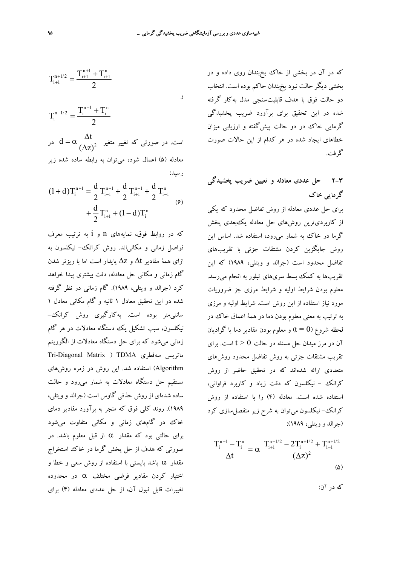$$
T_{i+1}^{n+1/2} = \frac{T_{i+1}^{n+1} + T_{i+1}^n}{2}
$$
  

$$
T_i^{n+1/2} = \frac{T_i^{n+1} + T_i^n}{2}
$$

 $\mathrm{d} = \alpha \frac{\Delta \mathrm{t}}{ \left( \Delta \pi \right)^2}$  است. در صورتی که تغییر متغیر  $(\Delta z)$ در d =  $\alpha \frac{\Delta}{(\Delta z)}$ معادله (5) اعمال شود، ميتوان به رابطه ساده شده زير رسيد:

$$
(1+d)T_i^{n+1} = \frac{d}{2}T_{i-1}^{n+1} + \frac{d}{2}T_{i+1}^{n+1} + \frac{d}{2}T_{i-1}^n
$$
  
 
$$
+ \frac{d}{2}T_{i+1}^n + (1-d)T_i^n
$$
 (9)

كه در روابط فوق، نمايههاي n و i به ترتيب معرف فواصل زماني و مكانياند. روش كرانك- نيكلسون به ازاي همة مقادير t ∆و z ∆پايدار است اما با ريزتر شدن گام زماني و مكاني حل معادله، دقت بيشتري پيدا خواهد كرد (جرالد و ويتلي، 1989). گام زماني در نظر گرفته شده در اين تحقيق معادل 1 ثانيه و گام مكاني معادل 1 سانتيمتر بوده است. بهكارگيري روش كرانك- نيكلسون، سبب تشكيل يك دستگاه معادلات در هر گام زماني ميشود كه براي حل دستگاه معادلات از الگوريتم Tri-Diagonal Matrix ) TDMA سهقطري ماتريس Algorithm (استفاده شد. اين روش در زمره روشهاي مستقيم حل دستگاه معادلات به شمار ميرود و حالت ساده شدهاي از روش حذفي گاوس است (جرالد و ويتلي، 1989). روند كلي فوق كه منجر به برآورد مقادير دماي خاك در گامهاي زماني و مكاني متفاوت ميشود براي حالتي بود كه مقدار α از قبل معلوم باشد. در صورتي كه هدف از حل پخش گرما در خاك استخراج مقدار α باشد بايستي با استفاده از روش سعي و خطا و اختيار كردن مقادير فرضي مختلف α در محدوده تغييرات قابل قبول آن، از حل عددي معادله (4) براي

كه در آن در بخشي از خاك يخبندان روي داده و در بخشي ديگر حالت نبود يخبندان حاكم بوده است. انتخاب دو حالت فوق با هدف قابليتسنجي مدل بهكار گرفته شده در اين تحقيق براي برآورد ضريب پخشيدگي گرمايي خاك در دو حالت پيشگفته و ارزيابي ميزان خطاهاي ايجاد شده در هر كدام از اين حالات صورت گرفت.

# **2-3 حل عددي معادله و تعيين ضريب پخشيدگي گرمايي خاك**

براي حل عددي معادله از روش تفاضل محدود كه يكي از كاربرديترين روشهاي حل معادله يكبعدي پخش گرما در خاك به شمار ميرود، استفاده شد. اساس اين روش جايگزين كردن مشتقات جزئي با تقريبهاي تفاضل محدود است (جرالد و ويتلي، 1989) كه اين تقريبها به كمك بسط سريهاي تيلور به انجام ميرسد. معلوم بودن شرايط اوليه و شرايط مرزي جز ضروريات مورد نياز استفاده از اين روش است. شرايط اوليه و مرزي به ترتيب به معني معلوم بودن دما در همة اعماق خاك در لحظه شروع (0 = t) و معلوم بودن مقادير دما يا گراديان آن در مرز ميدان حل مسئله در حالت 0 < t است. براي تقريب مشتقات جزئي به روش تفاضل محدود روشهاي متعددي ارائه شدهاند كه در تحقيق حاضر از روش كرانك - نيكلسون كه دقت زياد و كاربرد فراواني، استفاده شده است. معادله (4) را با استفاده از روش كرانك– نيكلسون مي توان به شرح زير منفصل سازي كرد (جرالد و ويتلي، 1989):

$$
\frac{T_i^{n+1} - T_i^n}{\Delta t} = \alpha \frac{T_{i+1}^{n+1/2} - 2T_i^{n+1/2} + T_{i-1}^{n+1/2}}{(\Delta z)^2}
$$
 (8)

كه در آن: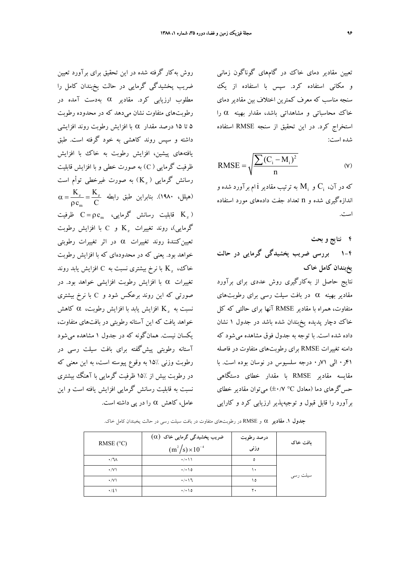روش بهكار گرفته شده در اين تحقيق براي برآورد تعيين ضريب پخشيدگي گرمايي در حالت يخبندان كامل را

مطلوب ارزيابي كرد. مقادير α بهدست آمده در

رطوبتهاي متفاوت نشان ميدهد كه در محدوده رطوبت

5 تا 15 درصد مقدار α با افزايش رطوبت روند افزايشي داشته و سپس روند كاهشي به خود گرفته است. طبق

يافتههاي پيشين، افزايش رطوبت به خاك با افزايش ظرفيت گرمايي ( C (به صورت خطي و با افزايش قابليت رسانش گرمايي  $(\rm{K}_{x})$  به صورت غيرخطي توأم است

قابليت رسانش گرمايي،  $C = \rho c_m$  ظرفيت K<sub>z</sub> ) و C با افزايش رطوبت Kz کرمايي)، روند تغييرات  $\rm K_{\star}$  گرمايي

تعيينكنندة روند تغييرات α در اثر تغييرات رطوبتي خواهد بود. يعني كه در محدودهاي كه با افزايش رطوبت با نرخ بيشتري نسبت به C افزايش يابد روند Kz خاك،

تغييرات α با افزايش رطوبت افزايشي خواهد بود. در

صورتي كه اين روند برعكس شود و C با نرخ بيشتري نسبت به  $\rm K$  افزايش يابد با افزايش رطوبت،  $\rm \alpha$  كاهش خواهد يافت كه اين آستانه رطوبتي در بافتهاي متفاوت، يكسان نيست. همانگونه كه در جدول 1 مشاهده ميشود آستانه رطوبتي پيشگفته براي بافت سيلت رسي در

رطوبت وزني 15% به وقوع پيوسته است، به اين معني كه در رطوبت بيش از 15% ظرفيت گرمايي با آهنگ بيشتري نسبت به قابليت رسانش گرمايي افزايش يافته است و اين

عامل، كاهش α را در پي داشته است.

m

 $\alpha = \frac{R_z}{r} =$ ρ

 $K_{z}$  K  $c_m$  C

 $\frac{\mathbf{z}}{Z} = \frac{\mathbf{K}_{\mathbf{z}}}{C}$  هيلل، ۱۹۸۰). بنابراين طبق رابطه

تعيين مقادير دماي خاك در گامهاي گوناگون زماني و مكاني استفاده كرد. سپس با استفاده از يك سنجه مناسب كه معرف كمترين اختلاف بين مقادير دماي خاك محاسباتي و مشاهداتي باشد، مقدار بهينه α را استخراج كرد. در اين تحقيق از سنجه RMSE استفاده شده است:

$$
RMSE = \sqrt{\frac{\sum (C_i - M_i)^2}{n}}
$$
 (v)

که در آن،  $\rm C_i$  و  $\rm M_i$  به ترتيب مقادير  $\rm i$  ام برآورد شده و اندازهگيري شده و n تعداد جفت دادههاي مورد استفاده است.

**4 نتايج و بحث 1-4 بررسي ضريب پخشيدگي گرمايي در حالت يخبندان كامل خاك** نتايج حاصل از بهكارگيري روش عددي براي برآورد مقادير بهينه  $\alpha$  در بافت سيلت رسي براي رطوبتهاي متفاوت، همراه با مقادير RMSE آنها براي حالتي كه كل خاك دچار پديده يخبندان شده باشد در جدول 1 نشان داده شده است. با توجه به جدول فوق مشاهده ميشود كه دامنه تغييرات RMSE براي رطوبتهاي متفاوت در فاصله 41ر0 الي 71ر0 درجه سلسيوس در نوسان بوده است. با مقايسه مقادير RMSE با مقدار خطاي دستگاهي حسگرهاي دما (معادل C° ±0/7 (ميتوان مقادير خطاي برآورد را قابل قبول و توجيهپذير ارزيابي كرد و كارايي

| RMSE $(^{\circ}C)$ | $(\alpha)$ ضریب پخشیدگی گرمایی خاک<br>$(m^{2}/s) \times 10^{-4}$ | درصد رطوبت<br>وزنى | بافت خاک |
|--------------------|------------------------------------------------------------------|--------------------|----------|
| $\cdot / \sqrt{ }$ | $\cdot$ / $\cdot$ \ \                                            | ٥                  | سیلت رسی |
| $\cdot$ /V)        | $\cdot$ / $\cdot$ \ 0                                            | ١٠                 |          |
| $\cdot$ /V)        | $\cdot$ / $\cdot$ \ $\sqrt{2}$                                   | ۱٥                 |          |
| $\cdot/2$          | $\cdot$ / $\cdot$ \ 0                                            | ٢٠                 |          |

**جدول .1 مقادير** α و RMSE در رطوبتهاي متفاوت در بافت سيلت رسي در حالت يخبندان كامل خاك.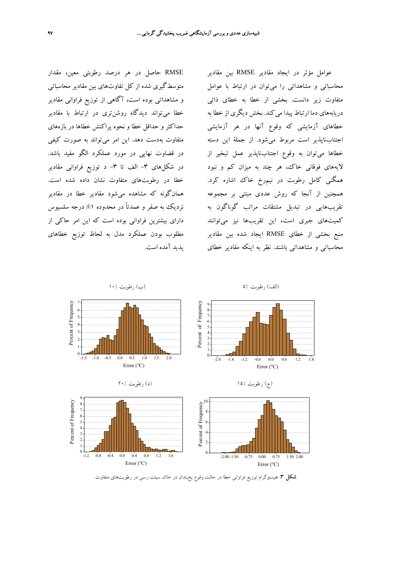RMSE حاصل در هر درصد رطوبتي معين، مقدار متوسطگيري شده از كل تفاوتهاي بين مقادير محاسباتي و مشاهداتي بوده است، آگاهي از توزيع فراواني مقادير خطا ميتواند ديدگاه روشنتري در ارتباط با مقادير حداكثر و حداقل خطا و نحوه پراكنش خطاها در بازههاي متفاوت بهدست دهد. اين امر ميتواند به صورت كيفي در قضاوت نهايي در مورد عملكرد الگو مفيد باشد. در شكلهاي ٣- الف تا ٣- د توزيع فراواني مقادير خطا در رطوبتهاي متفاوت نشان داده شده است. همانگونه كه مشاهده ميشود مقادير خطا در مقادير نزديك به صفر و عمدتاً در محدوده ±1 درجه سلسيوس داراي بيشترين فراواني بوده است كه اين امر حاكي از مطلوب بودن عملكرد مدل به لحاظ توزيع خطاهاي پديد آمده است.

عوامل مؤثر در ايجاد مقادير RMSE بين مقادير محاسباتي و مشاهداتي را ميتوان در ارتباط با عوامل متفاوت زير دانست. بخشي از خطا به خطاي ذاتي دريابههاي دما ارتباط پيدا مي كند. بخش ديگري از خطا به خطاهاي آزمايشي كه وقوع آنها در هر آزمايشي اجتنابناپذير است مربوط ميشود. از جملة اين دسته خطاها ميتوان به وقوع اجتنابناپذير عمل تبخير از لايههاي فوقاني خاك، هر چند به ميزان كم و نبود همگني كامل رطوبت در نيمرخ خاك اشاره كرد. همچنين از آنجا كه روش عددي مبتني بر مجموعه تقريبهايي در تبديل مشتقات مراتب گوناگون به كميتهاي جبري است، اين تقريبها نيز ميتوانند منبع بخشي از خطاي RMSE ايجاد شده بين مقادير محاسباتي و مشاهداتي باشند. نظر به اينكه مقادير خطاي



**شكل .3** هيستوگرام توزيع فراواني خطا در حالت وقوع يخبندان در خاك سيلت رسي در رطوبتهاي متفاوت.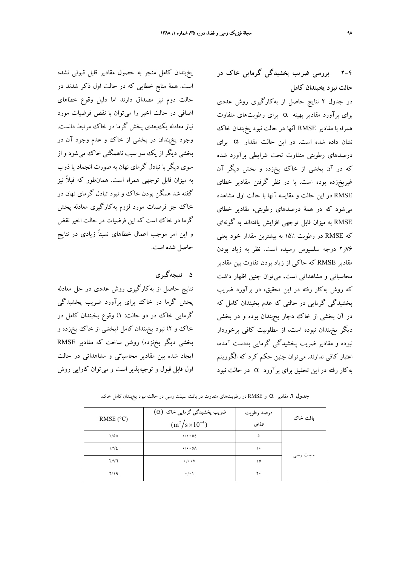يخبندان كامل منجر به حصول مقادير قابل قبولي نشده است. همة منابع خطايي كه در حالت اول ذكر شدند در حالت دوم نيز مصداق دارند اما دليل وقوع خطاهاي اضافي در حالت اخير را ميتوان با نقض فرضيات مورد نياز معادله يكبعدي پخش گرما در خاك مرتبط دانست. وجود يخبندان در بخشي از خاك و عدم وجود آن در بخشي ديگر از يك سو سبب ناهمگني خاك ميشود و از سوي ديگر با تبادل گرماي نهان به صورت انجماد يا ذوب به ميزان قابل توجهي همراه است. همانطور كه قبلاً نيز گفته شد همگن بودن خاك و نبود تبادل گرماي نهان در خاك جز فرضيات مورد لزوم بهكارگيري معادله پخش گرما در خاك است كه اين فرضيات در حالت اخير نقض و اين امر موجب اعمال خطاهاي نسبتاً زيادي در نتايج حاصل شده است.

**5 نتيجهگيري** نتايج حاصل از بهكارگيري روش عددي در حل معادله پخش گرما در خاك براي برآورد ضريب پخشيدگي گرمايي خاك در دو حالت: 1) وقوع يخبندان كامل در خاك و 2) نبود يخبندان كامل (بخشي از خاك يخزده و بخشي ديگر يخنزده) روشن ساخت كه مقادير RMSE ايجاد شده بين مقادير محاسباتي و مشاهداتي در حالت اول قابل قبول و توجيهپذير است و ميتوان كارايي روش **2-4 بررسي ضريب پخشيدگي گرمايي خاك در حالت نبود يخبندان كامل**

در جدول 2 نتايج حاصل از بهكارگيري روش عددي براي برآورد مقادير بهينه α براي رطوبتهاي متفاوت همراه با مقادير RMSE آنها در حالت نبود يخبندان خاك نشان داده شده است. در اين حالت مقدار α براي درصدهاي رطوبتي متفاوت تحت شرايطي برآورد شده كه در آن بخشي از خاك يخزده و بخش ديگر آن غيريخزده بوده است. با در نظر گرفتن مقادير خطاي RMSE در اين حالت و مقايسه آنها با حالت اول مشاهده ميشود كه در همة درصدهاي رطوبتي، مقادير خطاي RMSE به ميزان قابل توجهي افزايش يافتهاند به گونهاي كه RMSE در رطوبت 15% به بيشترين مقدار خود يعني 76ر2 درجه سلسيوس رسيده است. نظر به زياد بودن مقادير RMSE كه حاكي از زياد بودن تفاوت بين مقادير محاسباتي و مشاهداتي است، ميتوان چنين اظهار داشت كه روش بهكار رفته در اين تحقيق، در برآورد ضريب پخشيدگي گرمايي در حالتي كه عدم يخبندان كامل كه در آن بخشي از خاك دچار يخبندان بوده و در بخشي ديگر يخبندان نبوده است، از مطلوبيت كافي برخوردار نبوده و مقادير ضريب پخشيدگي گرمايي بهدست آمده، اعتبار كافي ندارند. ميتوان چنين حكم كرد كه الگوريتم بهكار رفته در اين تحقيق براي برآورد  $\alpha$  در حالت نبود

**جدول .2** مقادير α <sup>و</sup> RMSE در رطوبتهاي متفاوت در بافت سيلت رسي در حالت نبود يخبندان كامل خاك.

| RMSE $(^{\circ}C)$ | $(\alpha)$ ضریب پخشیدگی گرمایی خاک<br>$(m^2/s \times 10^{-4})$ | درصد رطوبت<br>وزنى | بافت خاک |
|--------------------|----------------------------------------------------------------|--------------------|----------|
| 1/0 <sub>A</sub>   | $\cdot/\cdot\cdot$ 02                                          | ٥                  | سیلت رسی |
| 1/V <sub>2</sub>   | $\cdot/\cdot\cdot$ 0 $\wedge$                                  | ١٠                 |          |
| $Y/Y$ ٦            | $\cdot$ / $\cdot$ $\vee$                                       | ه ۱                |          |
| Y/19               | $\cdot$ / $\cdot$ \                                            | ٢٠                 |          |